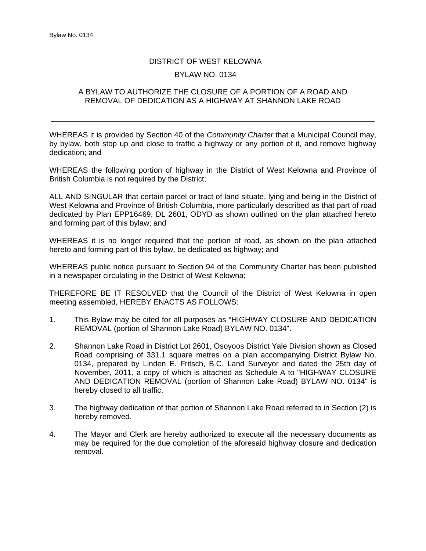## DISTRICT OF WEST KELOWNA BYLAW NO. 0134

## A BYLAW TO AUTHORIZE THE CLOSURE OF A PORTION OF A ROAD AND REMOVAL OF DEDICATION AS A HIGHWAY AT SHANNON LAKE ROAD

\_\_\_\_\_\_\_\_\_\_\_\_\_\_\_\_\_\_\_\_\_\_\_\_\_\_\_\_\_\_\_\_\_\_\_\_\_\_\_\_\_\_\_\_\_\_\_\_\_\_\_\_\_\_\_\_\_\_\_\_\_\_\_\_\_\_\_\_\_\_\_\_\_\_\_\_

WHEREAS it is provided by Section 40 of the *Community Charter* that a Municipal Council may, by bylaw, both stop up and close to traffic a highway or any portion of it, and remove highway dedication; and

WHEREAS the following portion of highway in the District of West Kelowna and Province of British Columbia is not required by the District;

ALL AND SINGULAR that certain parcel or tract of land situate, lying and being in the District of West Kelowna and Province of British Columbia, more particularly described as that part of road dedicated by Plan EPP16469, DL 2601, ODYD as shown outlined on the plan attached hereto and forming part of this bylaw; and

WHEREAS it is no longer required that the portion of road, as shown on the plan attached hereto and forming part of this bylaw, be dedicated as highway; and

WHEREAS public notice pursuant to Section 94 of the Community Charter has been published in a newspaper circulating in the District of West Kelowna;

THEREFORE BE IT RESOLVED that the Council of the District of West Kelowna in open meeting assembled, HEREBY ENACTS AS FOLLOWS:

- 1. This Bylaw may be cited for all purposes as "HIGHWAY CLOSURE AND DEDICATION REMOVAL (portion of Shannon Lake Road) BYLAW NO. 0134".
- 2. Shannon Lake Road in District Lot 2601, Osoyoos District Yale Division shown as Closed Road comprising of 331.1 square metres on a plan accompanying District Bylaw No. 0134, prepared by Linden E. Fritsch, B.C. Land Surveyor and dated the 25th day of November, 2011, a copy of which is attached as Schedule A to "HIGHWAY CLOSURE AND DEDICATION REMOVAL (portion of Shannon Lake Road) BYLAW NO. 0134" is hereby closed to all traffic.
- 3. The highway dedication of that portion of Shannon Lake Road referred to in Section (2) is hereby removed.
- 4. The Mayor and Clerk are hereby authorized to execute all the necessary documents as may be required for the due completion of the aforesaid highway closure and dedication removal.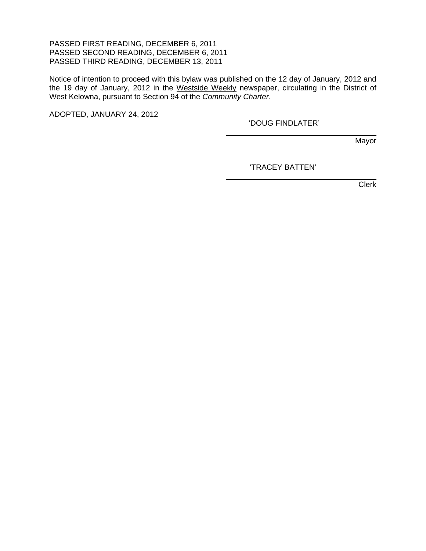## PASSED FIRST READING, DECEMBER 6, 2011 PASSED SECOND READING, DECEMBER 6, 2011 PASSED THIRD READING, DECEMBER 13, 2011

Notice of intention to proceed with this bylaw was published on the 12 day of January, 2012 and the 19 day of January, 2012 in the Westside Weekly newspaper, circulating in the District of West Kelowna, pursuant to Section 94 of the *Community Charter*.

 $\overline{a}$ 

 $\overline{a}$ 

ADOPTED, JANUARY 24, 2012

'DOUG FINDLATER'

Mayor

'TRACEY BATTEN'

Clerk